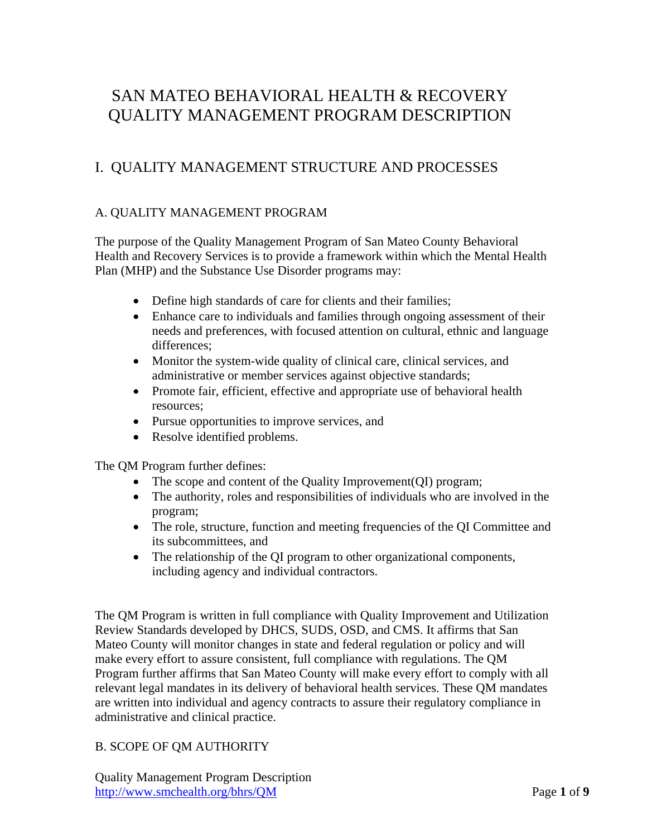# SAN MATEO BEHAVIORAL HEALTH & RECOVERY QUALITY MANAGEMENT PROGRAM DESCRIPTION

# I. QUALITY MANAGEMENT STRUCTURE AND PROCESSES

#### A. QUALITY MANAGEMENT PROGRAM

The purpose of the Quality Management Program of San Mateo County Behavioral Health and Recovery Services is to provide a framework within which the Mental Health Plan (MHP) and the Substance Use Disorder programs may:

- Define high standards of care for clients and their families;
- Enhance care to individuals and families through ongoing assessment of their needs and preferences, with focused attention on cultural, ethnic and language differences;
- Monitor the system-wide quality of clinical care, clinical services, and administrative or member services against objective standards;
- Promote fair, efficient, effective and appropriate use of behavioral health resources;
- Pursue opportunities to improve services, and
- Resolve identified problems.

The QM Program further defines:

- The scope and content of the Quality Improvement(QI) program;
- The authority, roles and responsibilities of individuals who are involved in the program;
- The role, structure, function and meeting frequencies of the QI Committee and its subcommittees, and
- The relationship of the QI program to other organizational components, including agency and individual contractors.

The QM Program is written in full compliance with Quality Improvement and Utilization Review Standards developed by DHCS, SUDS, OSD, and CMS. It affirms that San Mateo County will monitor changes in state and federal regulation or policy and will make every effort to assure consistent, full compliance with regulations. The QM Program further affirms that San Mateo County will make every effort to comply with all relevant legal mandates in its delivery of behavioral health services. These QM mandates are written into individual and agency contracts to assure their regulatory compliance in administrative and clinical practice.

# B. SCOPE OF QM AUTHORITY

Quality Management Program Description http://www.smchealth.org/bhrs/QM Page **1** of **9**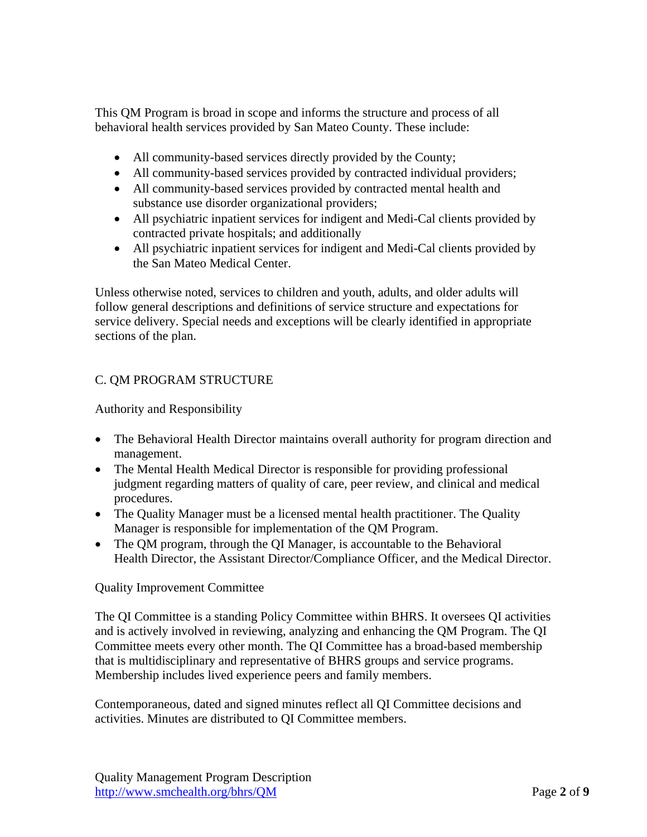This QM Program is broad in scope and informs the structure and process of all behavioral health services provided by San Mateo County. These include:

- All community-based services directly provided by the County;
- All community-based services provided by contracted individual providers;
- All community-based services provided by contracted mental health and substance use disorder organizational providers;
- All psychiatric inpatient services for indigent and Medi-Cal clients provided by contracted private hospitals; and additionally
- All psychiatric inpatient services for indigent and Medi-Cal clients provided by the San Mateo Medical Center.

Unless otherwise noted, services to children and youth, adults, and older adults will follow general descriptions and definitions of service structure and expectations for service delivery. Special needs and exceptions will be clearly identified in appropriate sections of the plan.

# C. QM PROGRAM STRUCTURE

Authority and Responsibility

- The Behavioral Health Director maintains overall authority for program direction and management.
- The Mental Health Medical Director is responsible for providing professional judgment regarding matters of quality of care, peer review, and clinical and medical procedures.
- The Quality Manager must be a licensed mental health practitioner. The Quality Manager is responsible for implementation of the QM Program.
- The OM program, through the OI Manager, is accountable to the Behavioral Health Director, the Assistant Director/Compliance Officer, and the Medical Director.

#### Quality Improvement Committee

The QI Committee is a standing Policy Committee within BHRS. It oversees QI activities and is actively involved in reviewing, analyzing and enhancing the QM Program. The QI Committee meets every other month. The QI Committee has a broad-based membership that is multidisciplinary and representative of BHRS groups and service programs. Membership includes lived experience peers and family members.

Contemporaneous, dated and signed minutes reflect all QI Committee decisions and activities. Minutes are distributed to QI Committee members.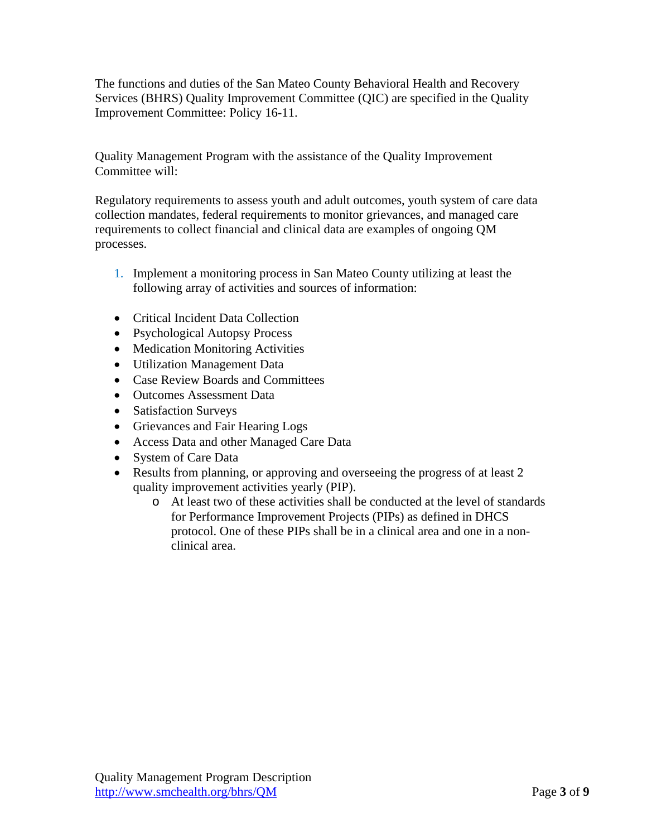The functions and duties of the San Mateo County Behavioral Health and Recovery Services (BHRS) Quality Improvement Committee (QIC) are specified in the Quality Improvement Committee: Policy 16-11.

Quality Management Program with the assistance of the Quality Improvement Committee will:

Regulatory requirements to assess youth and adult outcomes, youth system of care data collection mandates, federal requirements to monitor grievances, and managed care requirements to collect financial and clinical data are examples of ongoing QM processes.

- 1. Implement a monitoring process in San Mateo County utilizing at least the following array of activities and sources of information:
- Critical Incident Data Collection
- Psychological Autopsy Process
- Medication Monitoring Activities
- Utilization Management Data
- Case Review Boards and Committees
- Outcomes Assessment Data
- Satisfaction Surveys
- Grievances and Fair Hearing Logs
- Access Data and other Managed Care Data
- System of Care Data
- Results from planning, or approving and overseeing the progress of at least 2 quality improvement activities yearly (PIP).
	- o At least two of these activities shall be conducted at the level of standards for Performance Improvement Projects (PIPs) as defined in DHCS protocol. One of these PIPs shall be in a clinical area and one in a nonclinical area.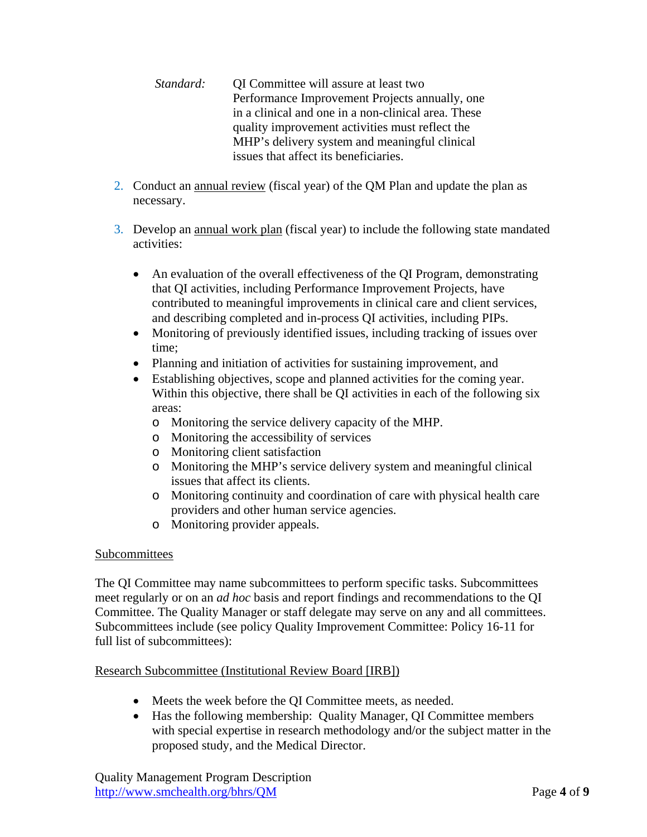*Standard:* **OI Committee will assure at least two** Performance Improvement Projects annually, one in a clinical and one in a non-clinical area. These quality improvement activities must reflect the MHP's delivery system and meaningful clinical issues that affect its beneficiaries.

- 2. Conduct an annual review (fiscal year) of the QM Plan and update the plan as necessary.
- 3. Develop an annual work plan (fiscal year) to include the following state mandated activities:
	- An evaluation of the overall effectiveness of the QI Program, demonstrating that QI activities, including Performance Improvement Projects, have contributed to meaningful improvements in clinical care and client services, and describing completed and in-process QI activities, including PIPs.
	- Monitoring of previously identified issues, including tracking of issues over time;
	- Planning and initiation of activities for sustaining improvement, and
	- Establishing objectives, scope and planned activities for the coming year. Within this objective, there shall be QI activities in each of the following six areas:
		- o Monitoring the service delivery capacity of the MHP.
		- o Monitoring the accessibility of services
		- o Monitoring client satisfaction
		- o Monitoring the MHP's service delivery system and meaningful clinical issues that affect its clients.
		- o Monitoring continuity and coordination of care with physical health care providers and other human service agencies.
		- o Monitoring provider appeals.

#### Subcommittees

The QI Committee may name subcommittees to perform specific tasks. Subcommittees meet regularly or on an *ad hoc* basis and report findings and recommendations to the QI Committee. The Quality Manager or staff delegate may serve on any and all committees. Subcommittees include (see policy Quality Improvement Committee: Policy 16-11 for full list of subcommittees):

#### Research Subcommittee (Institutional Review Board [IRB])

- Meets the week before the QI Committee meets, as needed.
- Has the following membership: Quality Manager, QI Committee members with special expertise in research methodology and/or the subject matter in the proposed study, and the Medical Director.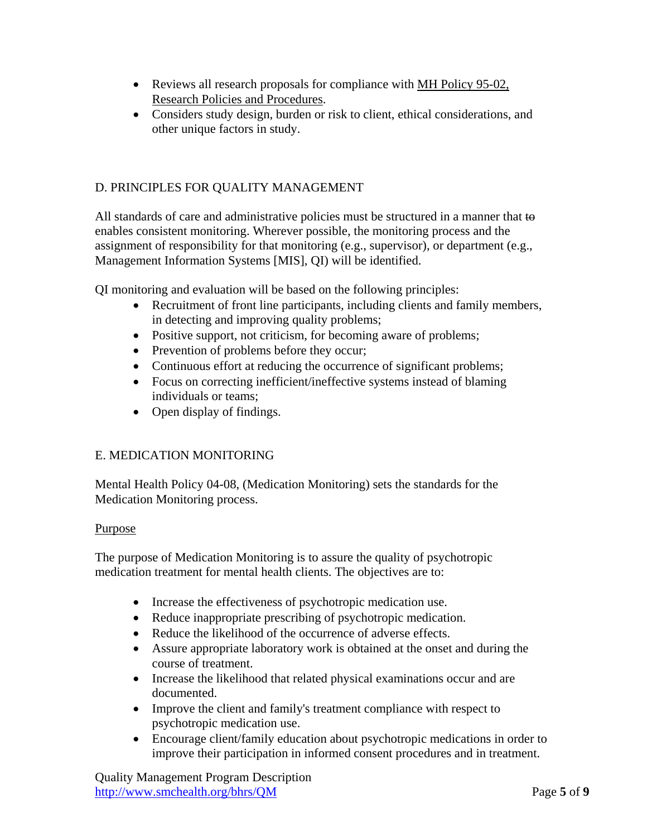- Reviews all research proposals for compliance with MH Policy 95-02, Research Policies and Procedures.
- Considers study design, burden or risk to client, ethical considerations, and other unique factors in study.

### D. PRINCIPLES FOR QUALITY MANAGEMENT

All standards of care and administrative policies must be structured in a manner that to enables consistent monitoring. Wherever possible, the monitoring process and the assignment of responsibility for that monitoring (e.g., supervisor), or department (e.g., Management Information Systems [MIS], QI) will be identified.

QI monitoring and evaluation will be based on the following principles:

- Recruitment of front line participants, including clients and family members, in detecting and improving quality problems;
- Positive support, not criticism, for becoming aware of problems;
- Prevention of problems before they occur;
- Continuous effort at reducing the occurrence of significant problems;
- Focus on correcting inefficient/ineffective systems instead of blaming individuals or teams;
- Open display of findings.

#### E. MEDICATION MONITORING

Mental Health Policy 04-08, (Medication Monitoring) sets the standards for the Medication Monitoring process.

#### Purpose

The purpose of Medication Monitoring is to assure the quality of psychotropic medication treatment for mental health clients. The objectives are to:

- Increase the effectiveness of psychotropic medication use.
- Reduce inappropriate prescribing of psychotropic medication.
- Reduce the likelihood of the occurrence of adverse effects.
- Assure appropriate laboratory work is obtained at the onset and during the course of treatment.
- Increase the likelihood that related physical examinations occur and are documented.
- Improve the client and family's treatment compliance with respect to psychotropic medication use.
- Encourage client/family education about psychotropic medications in order to improve their participation in informed consent procedures and in treatment.

Quality Management Program Description http://www.smchealth.org/bhrs/QM Page **5** of **9**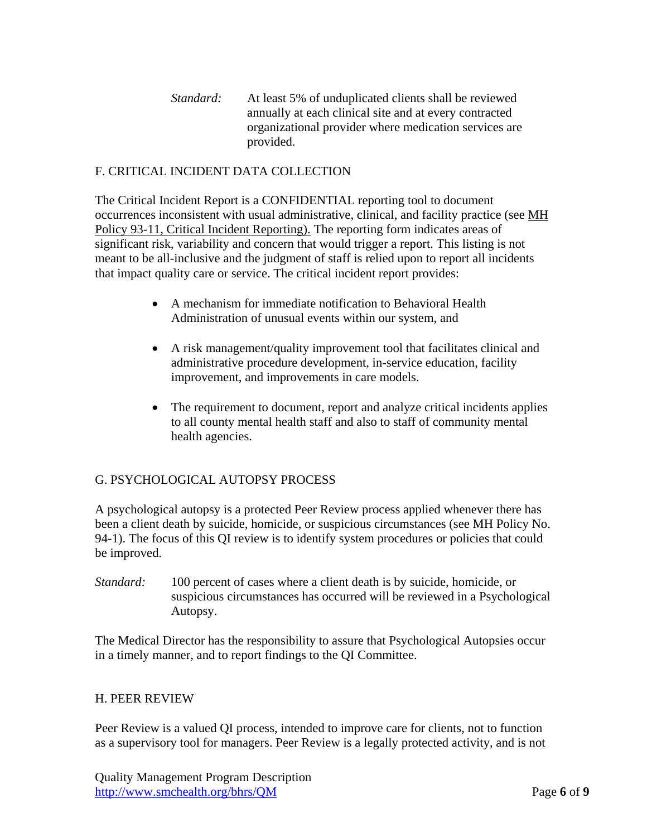*Standard:* At least 5% of unduplicated clients shall be reviewed annually at each clinical site and at every contracted organizational provider where medication services are provided.

#### F. CRITICAL INCIDENT DATA COLLECTION

The Critical Incident Report is a CONFIDENTIAL reporting tool to document occurrences inconsistent with usual administrative, clinical, and facility practice (see MH Policy 93-11, Critical Incident Reporting). The reporting form indicates areas of significant risk, variability and concern that would trigger a report. This listing is not meant to be all-inclusive and the judgment of staff is relied upon to report all incidents that impact quality care or service. The critical incident report provides:

- A mechanism for immediate notification to Behavioral Health Administration of unusual events within our system, and
- A risk management/quality improvement tool that facilitates clinical and administrative procedure development, in-service education, facility improvement, and improvements in care models.
- The requirement to document, report and analyze critical incidents applies to all county mental health staff and also to staff of community mental health agencies.

#### G. PSYCHOLOGICAL AUTOPSY PROCESS

A psychological autopsy is a protected Peer Review process applied whenever there has been a client death by suicide, homicide, or suspicious circumstances (see MH Policy No. 94-1). The focus of this QI review is to identify system procedures or policies that could be improved.

*Standard:* 100 percent of cases where a client death is by suicide, homicide, or suspicious circumstances has occurred will be reviewed in a Psychological Autopsy.

The Medical Director has the responsibility to assure that Psychological Autopsies occur in a timely manner, and to report findings to the QI Committee.

#### H. PEER REVIEW

Peer Review is a valued QI process, intended to improve care for clients, not to function as a supervisory tool for managers. Peer Review is a legally protected activity, and is not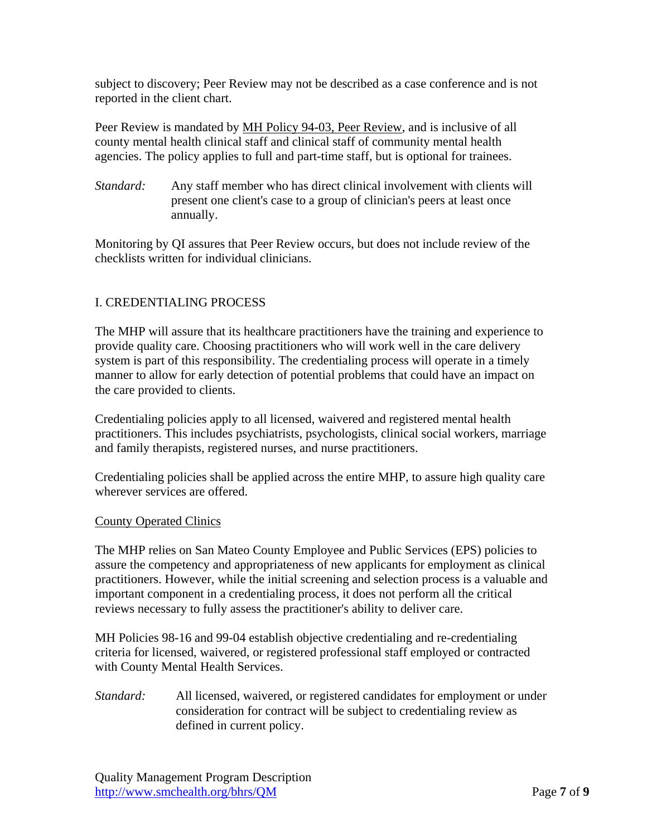subject to discovery; Peer Review may not be described as a case conference and is not reported in the client chart.

Peer Review is mandated by MH Policy 94-03, Peer Review, and is inclusive of all county mental health clinical staff and clinical staff of community mental health agencies. The policy applies to full and part-time staff, but is optional for trainees.

*Standard:* Any staff member who has direct clinical involvement with clients will present one client's case to a group of clinician's peers at least once annually.

Monitoring by QI assures that Peer Review occurs, but does not include review of the checklists written for individual clinicians.

#### I. CREDENTIALING PROCESS

The MHP will assure that its healthcare practitioners have the training and experience to provide quality care. Choosing practitioners who will work well in the care delivery system is part of this responsibility. The credentialing process will operate in a timely manner to allow for early detection of potential problems that could have an impact on the care provided to clients.

Credentialing policies apply to all licensed, waivered and registered mental health practitioners. This includes psychiatrists, psychologists, clinical social workers, marriage and family therapists, registered nurses, and nurse practitioners.

Credentialing policies shall be applied across the entire MHP, to assure high quality care wherever services are offered.

#### County Operated Clinics

The MHP relies on San Mateo County Employee and Public Services (EPS) policies to assure the competency and appropriateness of new applicants for employment as clinical practitioners. However, while the initial screening and selection process is a valuable and important component in a credentialing process, it does not perform all the critical reviews necessary to fully assess the practitioner's ability to deliver care.

MH Policies 98-16 and 99-04 establish objective credentialing and re-credentialing criteria for licensed, waivered, or registered professional staff employed or contracted with County Mental Health Services.

*Standard:* All licensed, waivered, or registered candidates for employment or under consideration for contract will be subject to credentialing review as defined in current policy.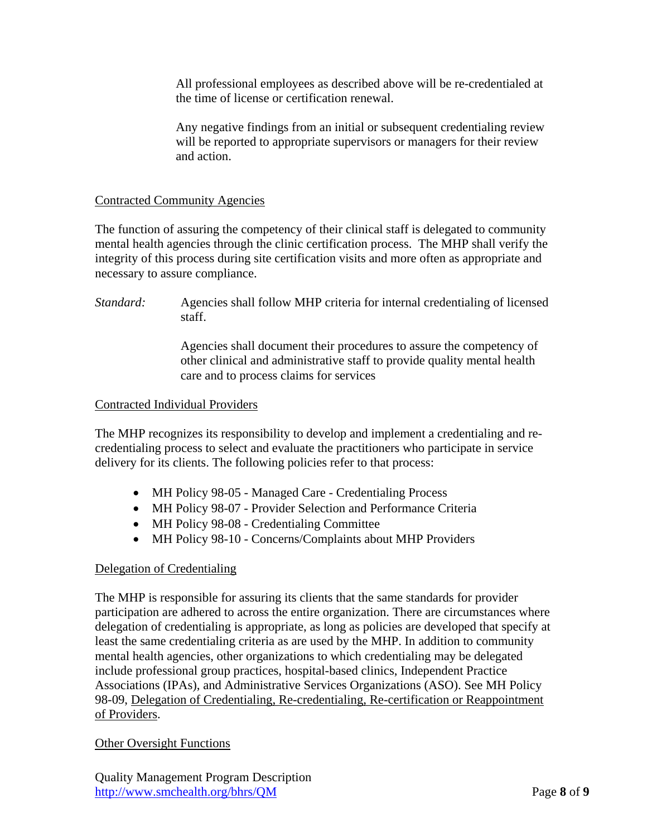All professional employees as described above will be re-credentialed at the time of license or certification renewal.

Any negative findings from an initial or subsequent credentialing review will be reported to appropriate supervisors or managers for their review and action.

#### Contracted Community Agencies

The function of assuring the competency of their clinical staff is delegated to community mental health agencies through the clinic certification process. The MHP shall verify the integrity of this process during site certification visits and more often as appropriate and necessary to assure compliance.

*Standard:* Agencies shall follow MHP criteria for internal credentialing of licensed staff.

> Agencies shall document their procedures to assure the competency of other clinical and administrative staff to provide quality mental health care and to process claims for services

#### Contracted Individual Providers

The MHP recognizes its responsibility to develop and implement a credentialing and recredentialing process to select and evaluate the practitioners who participate in service delivery for its clients. The following policies refer to that process:

- MH Policy 98-05 Managed Care Credentialing Process
- MH Policy 98-07 Provider Selection and Performance Criteria
- MH Policy 98-08 Credentialing Committee
- MH Policy 98-10 Concerns/Complaints about MHP Providers

#### Delegation of Credentialing

The MHP is responsible for assuring its clients that the same standards for provider participation are adhered to across the entire organization. There are circumstances where delegation of credentialing is appropriate, as long as policies are developed that specify at least the same credentialing criteria as are used by the MHP. In addition to community mental health agencies, other organizations to which credentialing may be delegated include professional group practices, hospital-based clinics, Independent Practice Associations (IPAs), and Administrative Services Organizations (ASO). See MH Policy 98-09, Delegation of Credentialing, Re-credentialing, Re-certification or Reappointment of Providers.

#### Other Oversight Functions